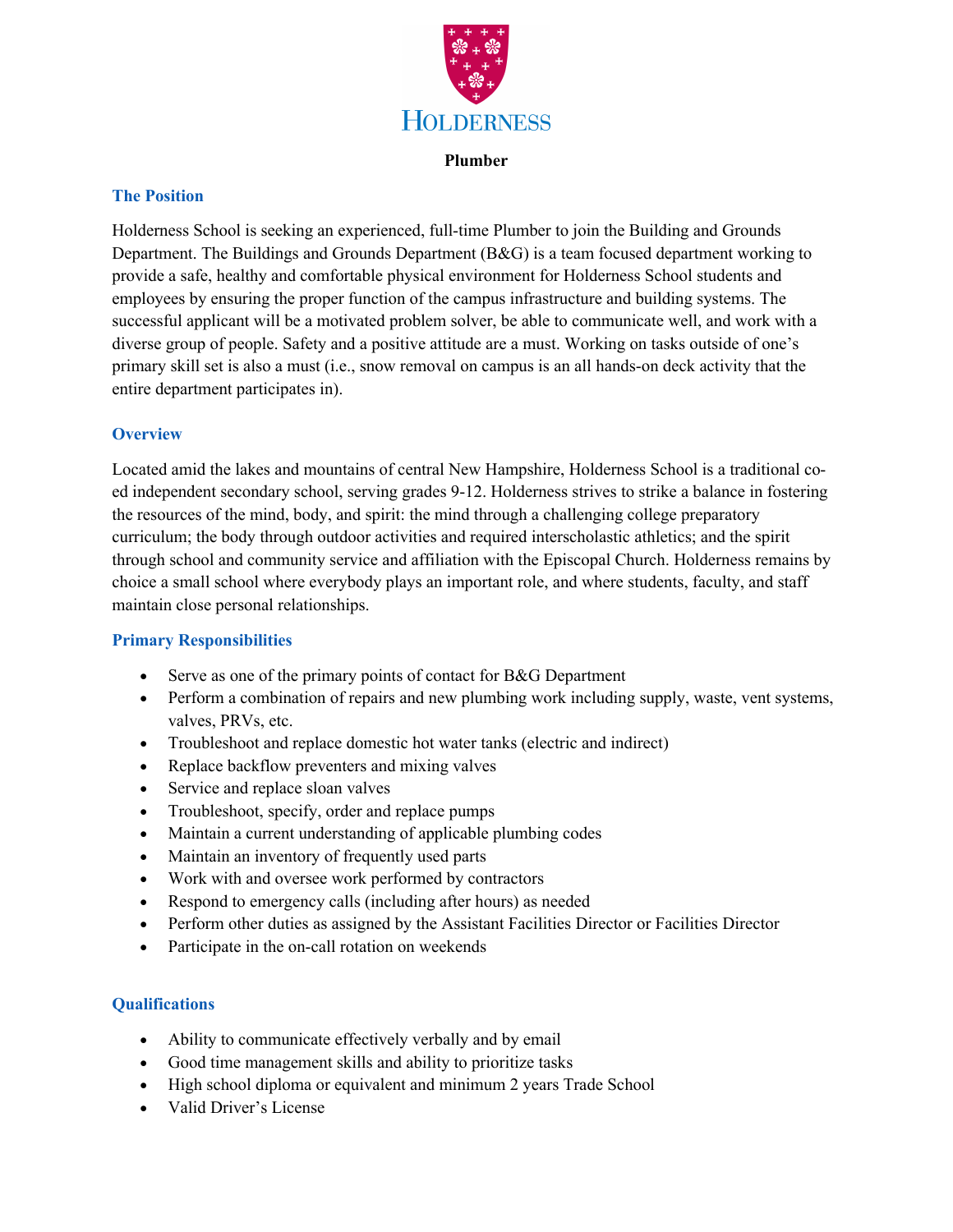

#### **Plumber**

#### **The Position**

Holderness School is seeking an experienced, full-time Plumber to join the Building and Grounds Department. The Buildings and Grounds Department (B&G) is a team focused department working to provide a safe, healthy and comfortable physical environment for Holderness School students and employees by ensuring the proper function of the campus infrastructure and building systems. The successful applicant will be a motivated problem solver, be able to communicate well, and work with a diverse group of people. Safety and a positive attitude are a must. Working on tasks outside of one's primary skill set is also a must (i.e., snow removal on campus is an all hands-on deck activity that the entire department participates in).

#### **Overview**

Located amid the lakes and mountains of central New Hampshire, Holderness School is a traditional coed independent secondary school, serving grades 9-12. Holderness strives to strike a balance in fostering the resources of the mind, body, and spirit: the mind through a challenging college preparatory curriculum; the body through outdoor activities and required interscholastic athletics; and the spirit through school and community service and affiliation with the Episcopal Church. Holderness remains by choice a small school where everybody plays an important role, and where students, faculty, and staff maintain close personal relationships.

## **Primary Responsibilities**

- Serve as one of the primary points of contact for B&G Department
- Perform a combination of repairs and new plumbing work including supply, waste, vent systems, valves, PRVs, etc.
- Troubleshoot and replace domestic hot water tanks (electric and indirect)
- Replace backflow preventers and mixing valves
- Service and replace sloan valves
- Troubleshoot, specify, order and replace pumps
- Maintain a current understanding of applicable plumbing codes
- Maintain an inventory of frequently used parts
- Work with and oversee work performed by contractors
- Respond to emergency calls (including after hours) as needed
- Perform other duties as assigned by the Assistant Facilities Director or Facilities Director
- Participate in the on-call rotation on weekends

## **Qualifications**

- Ability to communicate effectively verbally and by email
- Good time management skills and ability to prioritize tasks
- High school diploma or equivalent and minimum 2 years Trade School
- Valid Driver's License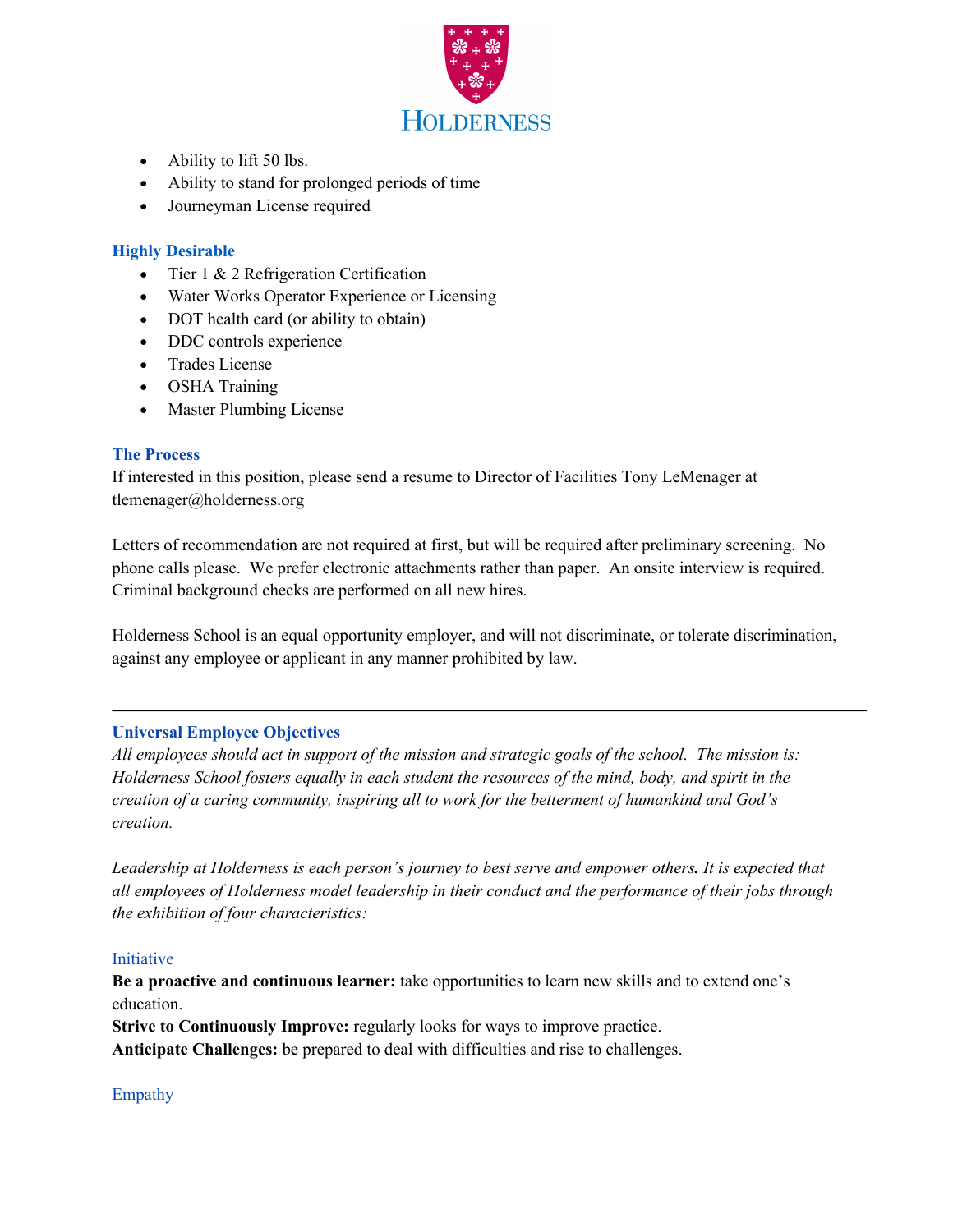

- Ability to lift 50 lbs.
- Ability to stand for prolonged periods of time
- Journeyman License required

# **Highly Desirable**

- Tier 1 & 2 Refrigeration Certification
- Water Works Operator Experience or Licensing
- DOT health card (or ability to obtain)
- DDC controls experience
- Trades License
- OSHA Training
- Master Plumbing License

## **The Process**

If interested in this position, please send a resume to Director of Facilities Tony LeMenager at tlemenager@holderness.org

Letters of recommendation are not required at first, but will be required after preliminary screening. No phone calls please. We prefer electronic attachments rather than paper. An onsite interview is required. Criminal background checks are performed on all new hires.

Holderness School is an equal opportunity employer, and will not discriminate, or tolerate discrimination, against any employee or applicant in any manner prohibited by law.

## **Universal Employee Objectives**

*All employees should act in support of the mission and strategic goals of the school. The mission is: Holderness School fosters equally in each student the resources of the mind, body, and spirit in the creation of a caring community, inspiring all to work for the betterment of humankind and God's creation.* 

*Leadership at Holderness is each person's journey to best serve and empower others. It is expected that all employees of Holderness model leadership in their conduct and the performance of their jobs through the exhibition of four characteristics:*

## Initiative

**Be a proactive and continuous learner:** take opportunities to learn new skills and to extend one's education.

**Strive to Continuously Improve:** regularly looks for ways to improve practice. **Anticipate Challenges:** be prepared to deal with difficulties and rise to challenges.

## Empathy